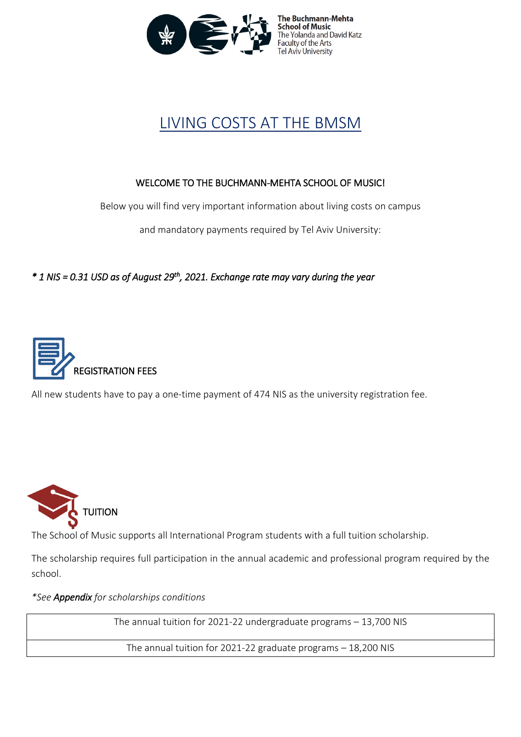

The Buchmann-Mehta **School of Music** The Yolanda and David Katz<br>Faculty of the Arts el Aviv University

## LIVING COSTS AT THE BMSM

### WELCOME TO THE BUCHMANN-MEHTA SCHOOL OF MUSIC!

Below you will find very important information about living costs on campus

and mandatory payments required by Tel Aviv University:

*\* 1 NIS = 0.31 USD as of August 29th, 2021. Exchange rate may vary during the year* 



All new students have to pay a one-time payment of 474 NIS as the university registration fee.



The School of Music supports all International Program students with a full tuition scholarship.

The scholarship requires full participation in the annual academic and professional program required by the school.

*\*See Appendix for scholarships conditions*

The annual tuition for 2021-22 undergraduate programs – 13,700 NIS

The annual tuition for 2021-22 graduate programs – 18,200 NIS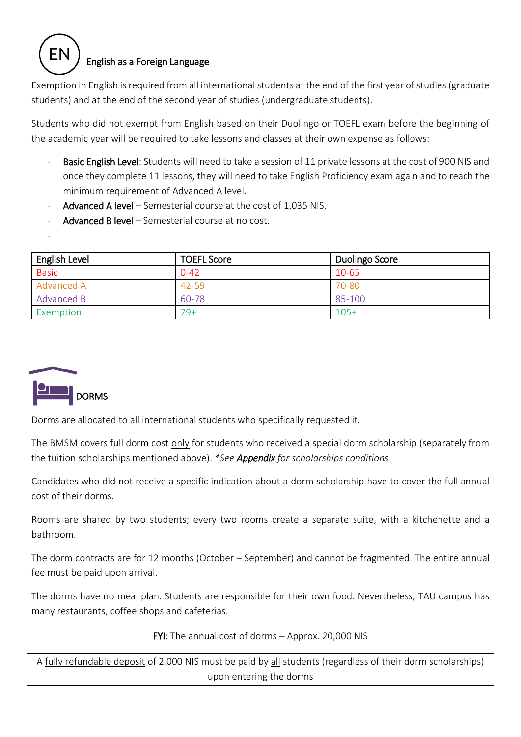### English as a Foreign Language

Exemption in English is required from all international students at the end of the first year of studies (graduate students) and at the end of the second year of studies (undergraduate students).

Students who did not exempt from English based on their Duolingo or TOEFL exam before the beginning of the academic year will be required to take lessons and classes at their own expense as follows:

- Basic English Level: Students will need to take a session of 11 private lessons at the cost of 900 NIS and once they complete 11 lessons, they will need to take English Proficiency exam again and to reach the minimum requirement of Advanced A level.
- Advanced A level Semesterial course at the cost of 1,035 NIS.
- Advanced B level Semesterial course at no cost.

| English Level | <b>TOEFL Score</b> | Duolingo Score |
|---------------|--------------------|----------------|
| <b>Basic</b>  | $0 - 42$           | 10-65          |
| Advanced A    | 42-59              | 70-80          |
| Advanced B    | 60-78              | 85-100         |
| Exemption     | 79+                | $105+$         |



-

Dorms are allocated to all international students who specifically requested it.

The BMSM covers full dorm cost only for students who received a special dorm scholarship (separately from the tuition scholarships mentioned above). *\*See Appendix for scholarships conditions*

Candidates who did not receive a specific indication about a dorm scholarship have to cover the full annual cost of their dorms.

Rooms are shared by two students; every two rooms create a separate suite, with a kitchenette and a bathroom.

The dorm contracts are for 12 months (October – September) and cannot be fragmented. The entire annual fee must be paid upon arrival.

The dorms have no meal plan. Students are responsible for their own food. Nevertheless, TAU campus has many restaurants, coffee shops and cafeterias.

FYI: The annual cost of dorms – Approx. 20,000 NIS

A fully refundable deposit of 2,000 NIS must be paid by all students (regardless of their dorm scholarships) upon entering the dorms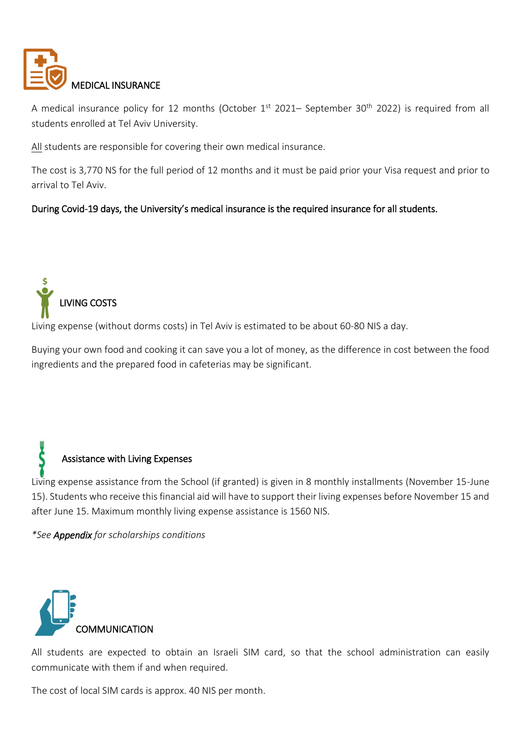

A medical insurance policy for 12 months (October 1<sup>st</sup> 2021– September 30<sup>th</sup> 2022) is required from all students enrolled at Tel Aviv University.

All students are responsible for covering their own medical insurance.

The cost is 3,770 NS for the full period of 12 months and it must be paid prior your Visa request and prior to arrival to Tel Aviv.

### During Covid-19 days, the University's medical insurance is the required insurance for all students.



Living expense (without dorms costs) in Tel Aviv is estimated to be about 60-80 NIS a day.

Buying your own food and cooking it can save you a lot of money, as the difference in cost between the food ingredients and the prepared food in cafeterias may be significant.

# Assistance with Living Expenses

Living expense assistance from the School (if granted) is given in 8 monthly installments (November 15-June 15). Students who receive this financial aid will have to support their living expenses before November 15 and after June 15. Maximum monthly living expense assistance is 1560 NIS.

*\*See Appendix for scholarships conditions*



All students are expected to obtain an Israeli SIM card, so that the school administration can easily communicate with them if and when required.

The cost of local SIM cards is approx. 40 NIS per month.